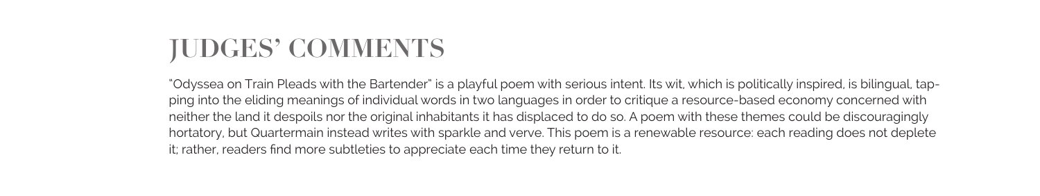## **JUDGES' COMMENTS**

"Odyssea on Train Pleads with the Bartender" is a playful poem with serious intent. Its wit, which is politically inspired, is bilingual, tapping into the eliding meanings of individual words in two languages in order to critique a resource-based economy concerned with neither the land it despoils nor the original inhabitants it has displaced to do so. A poem with these themes could be discouragingly hortatory, but Quartermain instead writes with sparkle and verve. This poem is a renewable resource: each reading does not deplete it; rather, readers find more subtleties to appreciate each time they return to it.